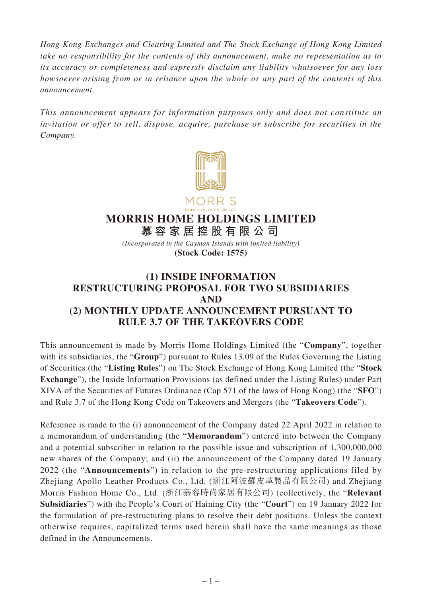*Hong Kong Exchanges and Clearing Limited and The Stock Exchange of Hong Kong Limited take no responsibility for the contents of this announcement, make no representation as to its accuracy or completeness and expressly disclaim any liability whatsoever for any loss howsoever arising from or in reliance upon the whole or any part of the contents of this announcement.*

*This announcement appears for information purposes only and does not constitute an invitation or offer to sell, dispose, acquire, purchase or subscribe for securities in the Company.*



## **MORRIS HOME HOLDINGS LIMITED**

**慕容家居控股有限公司** *(Incorporated in the Cayman Islands with limited liability)* **(Stock Code: 1575)**

## **(1) INSIDE INFORMATION RESTRUCTURING PROPOSAL FOR TWO SUBSIDIARIES AND (2) MONTHLY UPDATE ANNOUNCEMENT PURSUANT TO RULE 3.7 OF THE TAKEOVERS CODE**

This announcement is made by Morris Home Holdings Limited (the "**Company**", together with its subsidiaries, the "**Group**") pursuant to Rules 13.09 of the Rules Governing the Listing of Securities (the "**Listing Rules**") on The Stock Exchange of Hong Kong Limited (the "**Stock Exchange**"), the Inside Information Provisions (as defined under the Listing Rules) under Part XIVA of the Securities of Futures Ordinance (Cap 571 of the laws of Hong Kong) (the "**SFO**") and Rule 3.7 of the Hong Kong Code on Takeovers and Mergers (the "**Takeovers Code**").

Reference is made to the (i) announcement of the Company dated 22 April 2022 in relation to a memorandum of understanding (the "**Memorandum**") entered into between the Company and a potential subscriber in relation to the possible issue and subscription of 1,300,000,000 new shares of the Company; and (ii) the announcement of the Company dated 19 January 2022 (the "**Announcements**") in relation to the pre-restructuring applications filed by Zhejiang Apollo Leather Products Co., Ltd. (浙江阿波羅皮革製品有限公司) and Zhejiang Morris Fashion Home Co., Ltd. (浙江慕容時尚家居有限公司) (collectively, the "**Relevant Subsidiaries**") with the People's Court of Haining City (the "**Court**") on 19 January 2022 for the formulation of pre-restructuring plans to resolve their debt positions. Unless the context otherwise requires, capitalized terms used herein shall have the same meanings as those defined in the Announcements.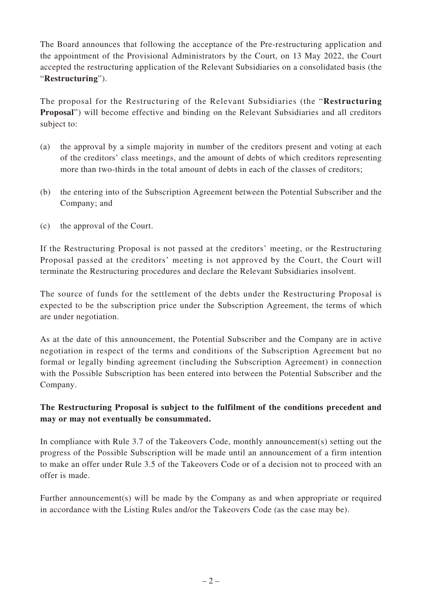The Board announces that following the acceptance of the Pre-restructuring application and the appointment of the Provisional Administrators by the Court, on 13 May 2022, the Court accepted the restructuring application of the Relevant Subsidiaries on a consolidated basis (the "**Restructuring**").

The proposal for the Restructuring of the Relevant Subsidiaries (the "**Restructuring Proposal**") will become effective and binding on the Relevant Subsidiaries and all creditors subject to:

- (a) the approval by a simple majority in number of the creditors present and voting at each of the creditors' class meetings, and the amount of debts of which creditors representing more than two-thirds in the total amount of debts in each of the classes of creditors;
- (b) the entering into of the Subscription Agreement between the Potential Subscriber and the Company; and
- (c) the approval of the Court.

If the Restructuring Proposal is not passed at the creditors' meeting, or the Restructuring Proposal passed at the creditors' meeting is not approved by the Court, the Court will terminate the Restructuring procedures and declare the Relevant Subsidiaries insolvent.

The source of funds for the settlement of the debts under the Restructuring Proposal is expected to be the subscription price under the Subscription Agreement, the terms of which are under negotiation.

As at the date of this announcement, the Potential Subscriber and the Company are in active negotiation in respect of the terms and conditions of the Subscription Agreement but no formal or legally binding agreement (including the Subscription Agreement) in connection with the Possible Subscription has been entered into between the Potential Subscriber and the Company.

## **The Restructuring Proposal is subject to the fulfilment of the conditions precedent and may or may not eventually be consummated.**

In compliance with Rule 3.7 of the Takeovers Code, monthly announcement(s) setting out the progress of the Possible Subscription will be made until an announcement of a firm intention to make an offer under Rule 3.5 of the Takeovers Code or of a decision not to proceed with an offer is made.

Further announcement(s) will be made by the Company as and when appropriate or required in accordance with the Listing Rules and/or the Takeovers Code (as the case may be).